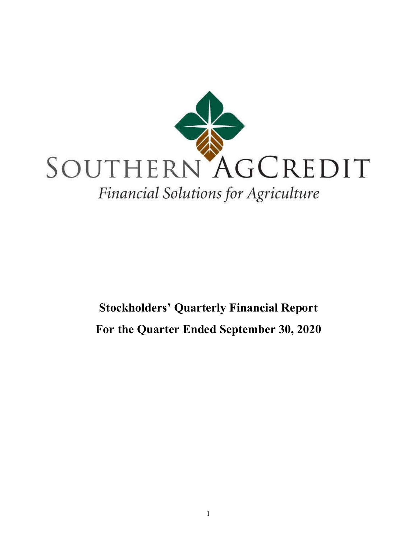

# Stockholders' Quarterly Financial Report For the Quarter Ended September 30, 2020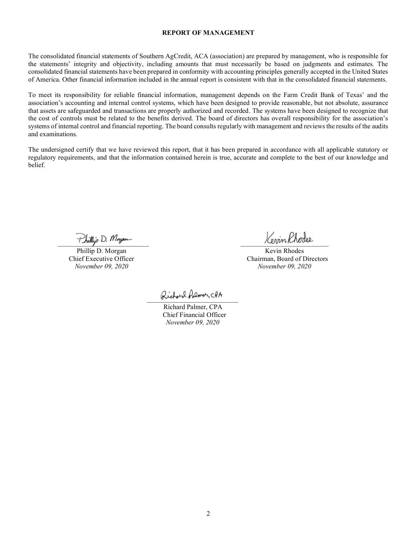#### REPORT OF MANAGEMENT

The consolidated financial statements of Southern AgCredit, ACA (association) are prepared by management, who is responsible for the statements' integrity and objectivity, including amounts that must necessarily be based on judgments and estimates. The consolidated financial statements have been prepared in conformity with accounting principles generally accepted in the United States of America. Other financial information included in the annual report is consistent with that in the consolidated financial statements.

To meet its responsibility for reliable financial information, management depends on the Farm Credit Bank of Texas' and the association's accounting and internal control systems, which have been designed to provide reasonable, but not absolute, assurance that assets are safeguarded and transactions are properly authorized and recorded. The systems have been designed to recognize that the cost of controls must be related to the benefits derived. The board of directors has overall responsibility for the association's systems of internal control and financial reporting. The board consults regularly with management and reviews the results of the audits and examinations.

The undersigned certify that we have reviewed this report, that it has been prepared in accordance with all applicable statutory or regulatory requirements, and that the information contained herein is true, accurate and complete to the best of our knowledge and belief.

Phillip D. Morgan

Phillip D. Morgan Kevin Rhodes Chief Executive Officer<br>
November 09, 2020<br>
November 09, 2020<br>
November 09, 2020 November 09, 2020

Richard Polmer, CPA

 Richard Palmer, CPA Chief Financial Officer November 09, 2020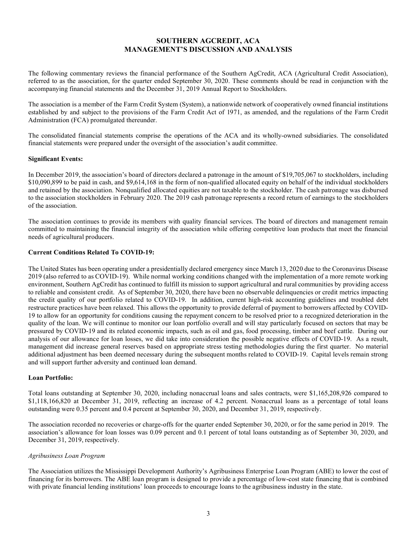# SOUTHERN AGCREDIT, ACA MANAGEMENT'S DISCUSSION AND ANALYSIS

The following commentary reviews the financial performance of the Southern AgCredit, ACA (Agricultural Credit Association), referred to as the association, for the quarter ended September 30, 2020. These comments should be read in conjunction with the accompanying financial statements and the December 31, 2019 Annual Report to Stockholders.

The association is a member of the Farm Credit System (System), a nationwide network of cooperatively owned financial institutions established by and subject to the provisions of the Farm Credit Act of 1971, as amended, and the regulations of the Farm Credit Administration (FCA) promulgated thereunder.

The consolidated financial statements comprise the operations of the ACA and its wholly-owned subsidiaries. The consolidated financial statements were prepared under the oversight of the association's audit committee.

### Significant Events:

In December 2019, the association's board of directors declared a patronage in the amount of \$19,705,067 to stockholders, including \$10,090,899 to be paid in cash, and \$9,614,168 in the form of non-qualified allocated equity on behalf of the individual stockholders and retained by the association. Nonqualified allocated equities are not taxable to the stockholder. The cash patronage was disbursed to the association stockholders in February 2020. The 2019 cash patronage represents a record return of earnings to the stockholders of the association.

The association continues to provide its members with quality financial services. The board of directors and management remain committed to maintaining the financial integrity of the association while offering competitive loan products that meet the financial needs of agricultural producers.

# Current Conditions Related To COVID-19:

The United States has been operating under a presidentially declared emergency since March 13, 2020 due to the Coronavirus Disease 2019 (also referred to as COVID-19). While normal working conditions changed with the implementation of a more remote working environment, Southern AgCredit has continued to fulfill its mission to support agricultural and rural communities by providing access to reliable and consistent credit. As of September 30, 2020, there have been no observable delinquencies or credit metrics impacting the credit quality of our portfolio related to COVID-19. In addition, current high-risk accounting guidelines and troubled debt restructure practices have been relaxed. This allows the opportunity to provide deferral of payment to borrowers affected by COVID-19 to allow for an opportunity for conditions causing the repayment concern to be resolved prior to a recognized deterioration in the quality of the loan. We will continue to monitor our loan portfolio overall and will stay particularly focused on sectors that may be pressured by COVID-19 and its related economic impacts, such as oil and gas, food processing, timber and beef cattle. During our analysis of our allowance for loan losses, we did take into consideration the possible negative effects of COVID-19. As a result, management did increase general reserves based on appropriate stress testing methodologies during the first quarter. No material additional adjustment has been deemed necessary during the subsequent months related to COVID-19. Capital levels remain strong and will support further adversity and continued loan demand.

#### Loan Portfolio:

Total loans outstanding at September 30, 2020, including nonaccrual loans and sales contracts, were \$1,165,208,926 compared to \$1,118,166,820 at December 31, 2019, reflecting an increase of 4.2 percent. Nonaccrual loans as a percentage of total loans outstanding were 0.35 percent and 0.4 percent at September 30, 2020, and December 31, 2019, respectively.

The association recorded no recoveries or charge-offs for the quarter ended September 30, 2020, or for the same period in 2019. The association's allowance for loan losses was 0.09 percent and 0.1 percent of total loans outstanding as of September 30, 2020, and December 31, 2019, respectively.

## Agribusiness Loan Program

The Association utilizes the Mississippi Development Authority's Agribusiness Enterprise Loan Program (ABE) to lower the cost of financing for its borrowers. The ABE loan program is designed to provide a percentage of low-cost state financing that is combined with private financial lending institutions' loan proceeds to encourage loans to the agribusiness industry in the state.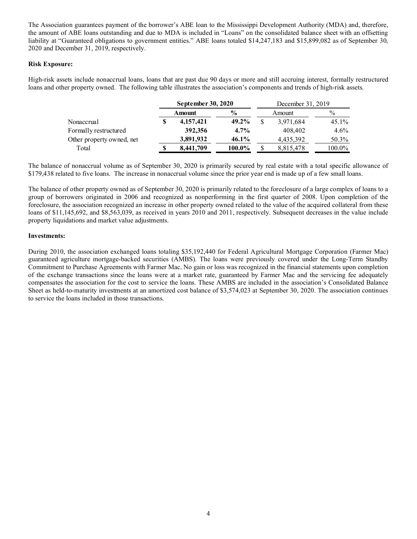The Association guarantees payment of the borrower's ABE loan to the Mississippi Development Authority (MDA) and, therefore, the amount of ABE loans outstanding and due to MDA is included in "Loans" on the consolidated balance sheet with an offsetting liability at "Guaranteed obligations to government entities." ABE loans totaled \$14,247,183 and \$15,899,082 as of September 30, 2020 and December 31, 2019, respectively.

### Risk Exposure:

High-risk assets include nonaccrual loans, loans that are past due 90 days or more and still accruing interest, formally restructured loans and other property owned. The following table illustrates the association's components and trends of high-risk assets.

|                           | September 30, 2020 |               |  | December 31, 2019 |          |  |  |
|---------------------------|--------------------|---------------|--|-------------------|----------|--|--|
|                           | Amount             | $\frac{6}{9}$ |  | Amount            | $\%$     |  |  |
| Nonaccrual                | 4,157,421          | $49.2\%$      |  | 3,971,684         | $45.1\%$ |  |  |
| Formally restructured     | 392,356            | $4.7\%$       |  | 408,402           | $4.6\%$  |  |  |
| Other property owned, net | 3,891,932          | 46.1%         |  | 4.435.392         | 50.3%    |  |  |
| Total                     | 8,441,709          | 100.0%        |  | 8,815,478         | 100.0%   |  |  |

The balance of nonaccrual volume as of September 30, 2020 is primarily secured by real estate with a total specific allowance of \$179,438 related to five loans. The increase in nonaccrual volume since the prior year end is made up of a few small loans.

The balance of other property owned as of September 30, 2020 is primarily related to the foreclosure of a large complex of loans to a group of borrowers originated in 2006 and recognized as nonperforming in the first quarter of 2008. Upon completion of the foreclosure, the association recognized an increase in other property owned related to the value of the acquired collateral from these loans of \$11,145,692, and \$8,563,039, as received in years 2010 and 2011, respectively. Subsequent decreases in the value include property liquidations and market value adjustments.

### Investments:

During 2010, the association exchanged loans totaling \$35,192,440 for Federal Agricultural Mortgage Corporation (Farmer Mac) guaranteed agriculture mortgage-backed securities (AMBS). The loans were previously covered under the Long-Term Standby Commitment to Purchase Agreements with Farmer Mac. No gain or loss was recognized in the financial statements upon completion of the exchange transactions since the loans were at a market rate, guaranteed by Farmer Mac and the servicing fee adequately compensates the association for the cost to service the loans. These AMBS are included in the association's Consolidated Balance Sheet as held-to-maturity investments at an amortized cost balance of \$3,574,023 at September 30, 2020. The association continues to service the loans included in those transactions.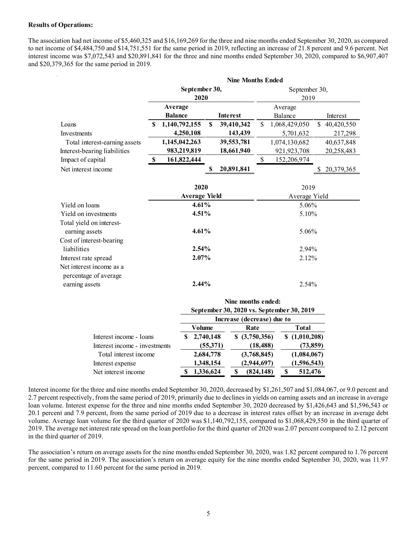#### Results of Operations:

The association had net income of \$5,460,325 and \$16,169,269 for the three and nine months ended September 30, 2020, as compared to net income of \$4,484,750 and \$14,751,551 for the same period in 2019, reflecting an increase of 21.8 percent and 9.6 percent. Net interest income was \$7,072,543 and \$20,891,841 for the three and nine months ended September 30, 2020, compared to \$6,907,407 and \$20,379,365 for the same period in 2019.

|                               | <b>Nine Months Ended</b> |                      |    |                 |                       |               |               |            |  |
|-------------------------------|--------------------------|----------------------|----|-----------------|-----------------------|---------------|---------------|------------|--|
|                               | September 30,<br>2020    |                      |    |                 | September 30,<br>2019 |               |               |            |  |
|                               |                          |                      |    |                 |                       |               |               |            |  |
|                               |                          | Average              |    |                 |                       | Average       |               |            |  |
|                               |                          | <b>Balance</b>       |    | <b>Interest</b> |                       | Balance       |               | Interest   |  |
| Loans                         | S                        | 1,140,792,155        | S. | 39,410,342      | <sup>\$</sup>         | 1,068,429,050 | <sup>\$</sup> | 40,420,550 |  |
| Investments                   |                          | 4,250,108            |    | 143,439         |                       | 5,701,632     |               | 217,298    |  |
| Total interest-earning assets |                          | 1,145,042,263        |    | 39,553,781      |                       | 1,074,130,682 |               | 40,637,848 |  |
| Interest-bearing liabilities  |                          | 983,219,819          |    | 18,661,940      |                       | 921, 923, 708 |               | 20,258,483 |  |
| Impact of capital             | \$                       | 161,822,444          |    |                 | \$                    | 152,206,974   |               |            |  |
| Net interest income           |                          |                      | S  | 20,891,841      |                       |               | S             | 20,379,365 |  |
|                               |                          |                      |    |                 |                       |               |               |            |  |
|                               |                          | 2020                 |    |                 |                       | 2019          |               |            |  |
|                               |                          | <b>Average Yield</b> |    |                 |                       | Average Yield |               |            |  |
| Yield on loans                |                          | 4.61%                |    |                 | 5.06%                 |               |               |            |  |
| Yield on investments          |                          | 4.51%                |    |                 | 5.10%                 |               |               |            |  |
| Total yield on interest-      |                          |                      |    |                 |                       |               |               |            |  |
| earning assets                |                          | 4.61%                |    |                 |                       | 5.06%         |               |            |  |
| Cost of interest-bearing      |                          |                      |    |                 |                       |               |               |            |  |
| liabilities                   |                          | 2.54%                |    |                 |                       | 2.94%         |               |            |  |
| Interest rate spread          |                          | 2.07%                |    |                 |                       | 2.12%         |               |            |  |
| Net interest income as a      |                          |                      |    |                 |                       |               |               |            |  |
| percentage of average         |                          |                      |    |                 |                       |               |               |            |  |
| earning assets                |                          | 2.44%                |    |                 |                       | 2.54%         |               |            |  |

|                               | Nine months ended:<br>September 30, 2020 vs. September 30, 2019 |                |             |  |  |  |
|-------------------------------|-----------------------------------------------------------------|----------------|-------------|--|--|--|
|                               | Increase (decrease) due to                                      |                |             |  |  |  |
|                               | Volume                                                          | Rate           | Total       |  |  |  |
| Interest income - loans       | 2,740,148                                                       | \$ (3,750,356) | (1,010,208) |  |  |  |
| Interest income - investments | (55,371)                                                        | (18, 488)      | (73, 859)   |  |  |  |
| Total interest income         | 2,684,778                                                       | (3,768,845)    | (1,084,067) |  |  |  |
| Interest expense              | 1,348,154                                                       | (2,944,697)    | (1,596,543) |  |  |  |
| Net interest income           | 1,336,624                                                       | (824, 148)     | 512,476     |  |  |  |

Interest income for the three and nine months ended September 30, 2020, decreased by \$1,261,507 and \$1,084,067, or 9.0 percent and 2.7 percent respectively, from the same period of 2019, primarily due to declines in yields on earning assets and an increase in average loan volume. Interest expense for the three and nine months ended September 30, 2020 decreased by \$1,426,643 and \$1,596,543 or 20.1 percent and 7.9 percent, from the same period of 2019 due to a decrease in interest rates offset by an increase in average debt volume. Average loan volume for the third quarter of 2020 was \$1,140,792,155, compared to \$1,068,429,550 in the third quarter of 2019. The average net interest rate spread on the loan portfolio for the third quarter of 2020 was 2.07 percent compared to 2.12 percent in the third quarter of 2019.

The association's return on average assets for the nine months ended September 30, 2020, was 1.82 percent compared to 1.76 percent for the same period in 2019. The association's return on average equity for the nine months ended September 30, 2020, was 11.97 percent, compared to 11.60 percent for the same period in 2019.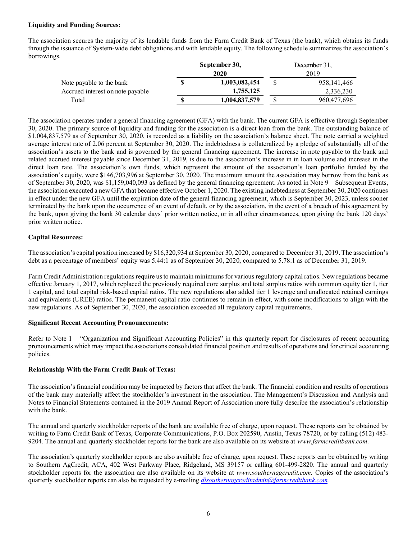## Liquidity and Funding Sources:

The association secures the majority of its lendable funds from the Farm Credit Bank of Texas (the bank), which obtains its funds through the issuance of System-wide debt obligations and with lendable equity. The following schedule summarizes the association's borrowings.

|                                  | September 30, |               | December 31, |               |  |
|----------------------------------|---------------|---------------|--------------|---------------|--|
|                                  |               | 2020          |              | 2019          |  |
| Note payable to the bank         | S             | 1,003,082,454 |              | 958, 141, 466 |  |
| Accrued interest on note payable |               | 1,755,125     |              | 2,336,230     |  |
| Total                            | S             | 1,004,837,579 |              | 960,477,696   |  |

The association operates under a general financing agreement (GFA) with the bank. The current GFA is effective through September 30, 2020. The primary source of liquidity and funding for the association is a direct loan from the bank. The outstanding balance of \$1,004,837,579 as of September 30, 2020, is recorded as a liability on the association's balance sheet. The note carried a weighted average interest rate of 2.06 percent at September 30, 2020. The indebtedness is collateralized by a pledge of substantially all of the association's assets to the bank and is governed by the general financing agreement. The increase in note payable to the bank and related accrued interest payable since December 31, 2019, is due to the association's increase in in loan volume and increase in the direct loan rate. The association's own funds, which represent the amount of the association's loan portfolio funded by the association's equity, were \$146,703,996 at September 30, 2020. The maximum amount the association may borrow from the bank as of September 30, 2020, was \$1,159,040,093 as defined by the general financing agreement. As noted in Note 9 – Subsequent Events, the association executed a new GFA that became effective October 1, 2020. The existing indebtedness at September 30, 2020 continues in effect under the new GFA until the expiration date of the general financing agreement, which is September 30, 2023, unless sooner terminated by the bank upon the occurrence of an event of default, or by the association, in the event of a breach of this agreement by the bank, upon giving the bank 30 calendar days' prior written notice, or in all other circumstances, upon giving the bank 120 days' prior written notice.

## Capital Resources:

The association's capital position increased by \$16,320,934 at September 30, 2020, compared to December 31, 2019. The association's debt as a percentage of members' equity was 5.44:1 as of September 30, 2020, compared to 5.78:1 as of December 31, 2019.

Farm Credit Administration regulations require us to maintain minimums for various regulatory capital ratios. New regulations became effective January 1, 2017, which replaced the previously required core surplus and total surplus ratios with common equity tier 1, tier 1 capital, and total capital risk-based capital ratios. The new regulations also added tier 1 leverage and unallocated retained earnings and equivalents (UREE) ratios. The permanent capital ratio continues to remain in effect, with some modifications to align with the new regulations. As of September 30, 2020, the association exceeded all regulatory capital requirements.

## Significant Recent Accounting Pronouncements:

Refer to Note 1 – "Organization and Significant Accounting Policies" in this quarterly report for disclosures of recent accounting pronouncements which may impact the associations consolidated financial position and results of operations and for critical accounting policies.

## Relationship With the Farm Credit Bank of Texas:

The association's financial condition may be impacted by factors that affect the bank. The financial condition and results of operations of the bank may materially affect the stockholder's investment in the association. The Management's Discussion and Analysis and Notes to Financial Statements contained in the 2019 Annual Report of Association more fully describe the association's relationship with the bank.

The annual and quarterly stockholder reports of the bank are available free of charge, upon request. These reports can be obtained by writing to Farm Credit Bank of Texas, Corporate Communications, P.O. Box 202590, Austin, Texas 78720, or by calling (512) 483- 9204. The annual and quarterly stockholder reports for the bank are also available on its website at www.farmcreditbank.com.

The association's quarterly stockholder reports are also available free of charge, upon request. These reports can be obtained by writing to Southern AgCredit, ACA, 402 West Parkway Place, Ridgeland, MS 39157 or calling 601-499-2820. The annual and quarterly stockholder reports for the association are also available on its website at *www.southernagcredit.com*. Copies of the association's quarterly stockholder reports can also be requested by e-mailing *dlsouthernagcreditadmin@farmcreditbank.com.*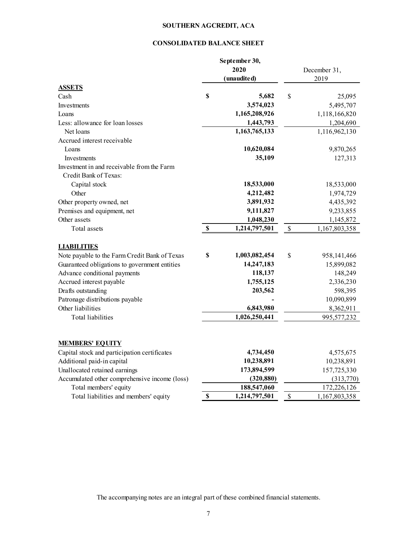# SOUTHERN AGCREDIT, ACA

# CONSOLIDATED BALANCE SHEET

|                                               |             | September 30,<br>2020<br>(unaudited) |               | December 31,<br>2019 |
|-----------------------------------------------|-------------|--------------------------------------|---------------|----------------------|
| <b>ASSETS</b><br>Cash                         | \$          | 5,682                                | \$            | 25,095               |
| Investments                                   |             | 3,574,023                            |               | 5,495,707            |
| Loans                                         |             | 1,165,208,926                        |               | 1,118,166,820        |
| Less: allowance for loan losses               |             | 1,443,793                            |               | 1,204,690            |
| Net loans                                     |             | 1,163,765,133                        |               | 1,116,962,130        |
| Accrued interest receivable                   |             |                                      |               |                      |
| Loans                                         |             | 10,620,084                           |               | 9,870,265            |
| Investments                                   |             | 35,109                               |               | 127,313              |
| Investment in and receivable from the Farm    |             |                                      |               |                      |
| Credit Bank of Texas:                         |             |                                      |               |                      |
| Capital stock                                 |             | 18,533,000                           |               | 18,533,000           |
| Other                                         |             | 4,212,482                            |               | 1,974,729            |
| Other property owned, net                     |             | 3,891,932                            |               | 4,435,392            |
| Premises and equipment, net                   |             | 9,111,827                            |               | 9,233,855            |
| Other assets                                  |             | 1,048,230                            |               | 1,145,872            |
| Total assets                                  | $\mathbb S$ | 1,214,797,501                        | \$            | 1,167,803,358        |
|                                               |             |                                      |               |                      |
| <b>LIABILITIES</b>                            |             |                                      |               |                      |
| Note payable to the Farm Credit Bank of Texas | \$          | 1,003,082,454                        | \$            | 958,141,466          |
| Guaranteed obligations to government entities |             | 14,247,183                           |               | 15,899,082           |
| Advance conditional payments                  |             | 118,137                              |               | 148,249              |
| Accrued interest payable                      |             | 1,755,125                            |               | 2,336,230            |
| Drafts outstanding                            |             | 203,562                              |               | 598,395              |
| Patronage distributions payable               |             |                                      |               | 10,090,899           |
| Other liabilities                             |             | 6,843,980                            |               | 8,362,911            |
| Total liabilities                             |             | 1,026,250,441                        |               | 995,577,232          |
| <b>MEMBERS' EQUITY</b>                        |             |                                      |               |                      |
| Capital stock and participation certificates  |             | 4,734,450                            |               | 4,575,675            |
| Additional paid-in capital                    |             | 10,238,891                           |               | 10,238,891           |
| Unallocated retained earnings                 |             | 173,894,599                          |               | 157,725,330          |
| Accumulated other comprehensive income (loss) |             | (320, 880)                           |               | (313,770)            |
| Total members' equity                         |             | 188,547,060                          |               | 172,226,126          |
| Total liabilities and members' equity         | \$          | 1,214,797,501                        | $\mathcal{S}$ | 1,167,803,358        |

The accompanying notes are an integral part of these combined financial statements.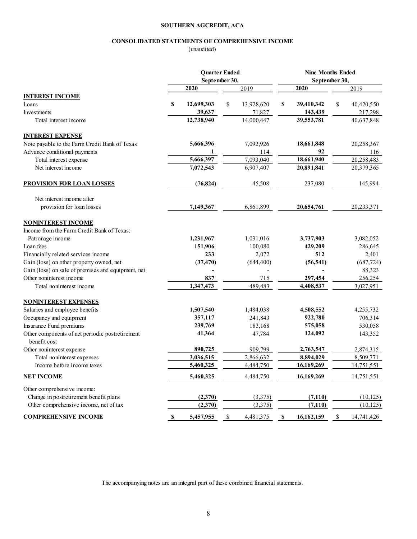# SOUTHERN AGCREDIT, ACA

# CONSOLIDATED STATEMENTS OF COMPREHENSIVE INCOME

# (unaudited)

|                                                                                | <b>Quarter Ended</b><br>September 30, |                |    | <b>Nine Months Ended</b><br>September 30, |    |                |    |                   |
|--------------------------------------------------------------------------------|---------------------------------------|----------------|----|-------------------------------------------|----|----------------|----|-------------------|
|                                                                                |                                       |                |    |                                           |    |                |    |                   |
|                                                                                |                                       | 2020           |    | 2019                                      |    | 2020           |    | 2019              |
| <b>INTEREST INCOME</b><br>Loans                                                | \$                                    | 12,699,303     | \$ | 13,928,620                                | \$ | 39,410,342     | \$ | 40,420,550        |
| Investments                                                                    |                                       | 39,637         |    | 71,827                                    |    | 143,439        |    | 217,298           |
| Total interest income                                                          |                                       | 12,738,940     |    | 14,000,447                                |    | 39,553,781     |    | 40,637,848        |
|                                                                                |                                       |                |    |                                           |    |                |    |                   |
| <b>INTEREST EXPENSE</b>                                                        |                                       |                |    |                                           |    |                |    |                   |
| Note payable to the Farm Credit Bank of Texas                                  |                                       | 5,666,396      |    | 7,092,926                                 |    | 18,661,848     |    | 20,258,367        |
| Advance conditional payments                                                   |                                       | 1              |    | 114                                       |    | 92             |    | 116               |
| Total interest expense                                                         |                                       | 5,666,397      |    | 7,093,040                                 |    | 18,661,940     |    | 20,258,483        |
| Net interest income                                                            |                                       | 7,072,543      |    | 6,907,407                                 |    | 20,891,841     |    | 20,379,365        |
| <b>PROVISION FOR LOAN LOSSES</b>                                               |                                       | (76, 824)      |    | 45,508                                    |    | 237,080        |    | 145,994           |
| Net interest income after                                                      |                                       |                |    |                                           |    |                |    |                   |
| provision for loan losses                                                      |                                       | 7,149,367      |    | 6,861,899                                 |    | 20,654,761     |    | 20,233,371        |
| <b>NONINTEREST INCOME</b>                                                      |                                       |                |    |                                           |    |                |    |                   |
| Income from the Farm Credit Bank of Texas:                                     |                                       |                |    |                                           |    |                |    |                   |
| Patronage income                                                               |                                       | 1,231,967      |    | 1,031,016                                 |    | 3,737,903      |    | 3,082,052         |
| Loan fees                                                                      |                                       | 151,906<br>233 |    | 100,080                                   |    | 429,209<br>512 |    | 286,645           |
| Financially related services income                                            |                                       |                |    | 2,072                                     |    |                |    | 2,401             |
| Gain (loss) on other property owned, net                                       |                                       | (37, 470)      |    | (644, 400)                                |    | (56, 541)      |    | (687, 724)        |
| Gain (loss) on sale of premises and equipment, net<br>Other noninterest income |                                       | 837            |    | 715                                       |    | 297,454        |    | 88,323<br>256,254 |
| Total noninterest income                                                       |                                       | 1,347,473      |    | 489,483                                   |    | 4,408,537      |    | 3,027,951         |
|                                                                                |                                       |                |    |                                           |    |                |    |                   |
| <b>NONINTEREST EXPENSES</b>                                                    |                                       |                |    |                                           |    |                |    |                   |
| Salaries and employee benefits                                                 |                                       | 1,507,540      |    | 1,484,038                                 |    | 4,508,552      |    | 4,255,732         |
| Occupancy and equipment                                                        |                                       | 357,117        |    | 241,843                                   |    | 922,780        |    | 706,314           |
| Insurance Fund premiums                                                        |                                       | 239,769        |    | 183,168                                   |    | 575,058        |    | 530,058           |
| Other components of net periodic postretirement<br>benefit cost                |                                       | 41,364         |    | 47,784                                    |    | 124,092        |    | 143,352           |
| Other noninterest expense                                                      |                                       | 890,725        |    | 909,799                                   |    | 2,763,547      |    | 2,874,315         |
| Total noninterest expenses                                                     |                                       | 3,036,515      |    | 2,866,632                                 |    | 8,894,029      |    | 8,509,771         |
| Income before income taxes                                                     |                                       | 5,460,325      |    | 4,484,750                                 |    | 16,169,269     |    | 14,751,551        |
| <b>NET INCOME</b>                                                              |                                       | 5,460,325      |    | 4,484,750                                 |    | 16,169,269     |    | 14,751,551        |
| Other comprehensive income:                                                    |                                       |                |    |                                           |    |                |    |                   |
| Change in postretirement benefit plans                                         |                                       | (2,370)        |    | (3,375)                                   |    | (7, 110)       |    | (10, 125)         |
| Other comprehensive income, net of tax                                         |                                       | (2,370)        |    | (3,375)                                   |    | (7, 110)       |    | (10, 125)         |
| <b>COMPREHENSIVE INCOME</b>                                                    | $\mathbb S$                           | 5,457,955      | \$ | 4,481,375                                 | \$ | 16,162,159     | \$ | 14,741,426        |

The accompanying notes are an integral part of these combined financial statements.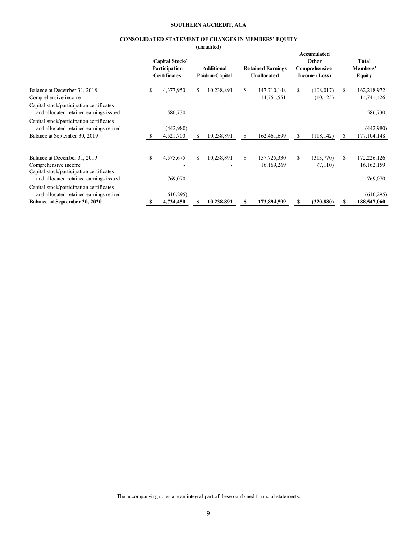#### SOUTHERN AGCREDIT, ACA

## CONSOLIDATED STATEMENT OF CHANGES IN MEMBERS' EQUITY

(unaudited)

| Accumulated<br>Other<br>Capital Stock/<br>Participation<br><b>Additional</b><br><b>Comprehensive</b><br><b>Retained Earnings</b><br><b>Certificates</b><br>Paid-in-Capital<br>Unallocated<br>Income (Loss)<br>\$<br>10,238,891<br>S.<br>S<br>4,377,950<br>\$<br>S.<br>147,710,148<br>(108, 017)<br>Balance at December 31, 2018<br>14,751,551<br>(10, 125)<br>Comprehensive income<br>Capital stock/participation certificates |                                    |
|--------------------------------------------------------------------------------------------------------------------------------------------------------------------------------------------------------------------------------------------------------------------------------------------------------------------------------------------------------------------------------------------------------------------------------|------------------------------------|
|                                                                                                                                                                                                                                                                                                                                                                                                                                | Total<br>Members'<br><b>Equity</b> |
|                                                                                                                                                                                                                                                                                                                                                                                                                                | 162,218,972<br>14,741,426          |
| 586,730<br>and allocated retained earnings issued                                                                                                                                                                                                                                                                                                                                                                              | 586,730                            |
| Capital stock/participation certificates<br>and allocated retained earnings retired<br>(442,980)                                                                                                                                                                                                                                                                                                                               | (442,980)                          |
| \$<br>4,521,700<br>10,238,891<br>162,461,699<br>(118, 142)<br>Balance at September 30, 2019<br>S<br>S<br>\$                                                                                                                                                                                                                                                                                                                    | 177, 104, 148                      |
| \$<br>4,575,675<br>\$<br>10,238,891<br>157,725,330<br>S.<br>(313,770)<br>S<br>Balance at December 31, 2019<br>S.<br>Comprehensive income<br>16,169,269<br>(7,110)<br>Capital stock/participation certificates                                                                                                                                                                                                                  | 172,226,126<br>16,162,159          |
| and allocated retained earnings issued<br>769,070                                                                                                                                                                                                                                                                                                                                                                              | 769,070                            |
| Capital stock/participation certificates<br>and allocated retained earnings retired<br>(610, 295)                                                                                                                                                                                                                                                                                                                              | (610, 295)                         |
| \$<br>10,238,891<br>173,894,599<br>(320, 880)<br>\$.<br>Balance at September 30, 2020<br>4,734,450<br>S                                                                                                                                                                                                                                                                                                                        | 188,547,060                        |

The accompanying notes are an integral part of these combined financial statements.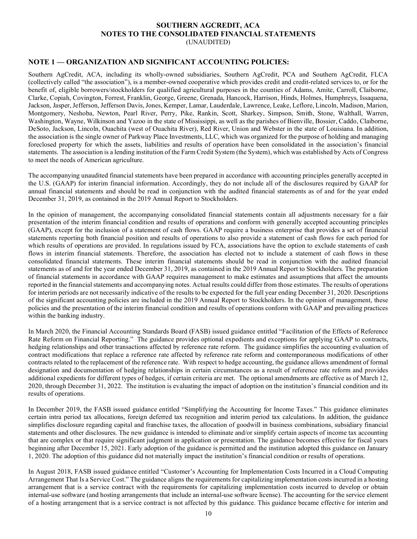## SOUTHERN AGCREDIT, ACA NOTES TO THE CONSOLIDATED FINANCIAL STATEMENTS (UNAUDITED)

# NOTE 1 — ORGANIZATION AND SIGNIFICANT ACCOUNTING POLICIES:

Southern AgCredit, ACA, including its wholly-owned subsidiaries, Southern AgCredit, PCA and Southern AgCredit, FLCA (collectively called "the association"), is a member-owned cooperative which provides credit and credit-related services to, or for the benefit of, eligible borrowers/stockholders for qualified agricultural purposes in the counties of Adams, Amite, Carroll, Claiborne, Clarke, Copiah, Covington, Forrest, Franklin, George, Greene, Grenada, Hancock, Harrison, Hinds, Holmes, Humphreys, Issaquena, Jackson, Jasper, Jefferson, Jefferson Davis, Jones, Kemper, Lamar, Lauderdale, Lawrence, Leake, Leflore, Lincoln, Madison, Marion, Montgomery, Neshoba, Newton, Pearl River, Perry, Pike, Rankin, Scott, Sharkey, Simpson, Smith, Stone, Walthall, Warren, Washington, Wayne, Wilkinson and Yazoo in the state of Mississippi, as well as the parishes of Bienville, Bossier, Caddo, Claiborne, DeSoto, Jackson, Lincoln, Ouachita (west of Ouachita River), Red River, Union and Webster in the state of Louisiana. In addition, the association is the single owner of Parkway Place Investments, LLC, which was organized for the purpose of holding and managing foreclosed property for which the assets, liabilities and results of operation have been consolidated in the association's financial statements. The association is a lending institution of the Farm Credit System (the System), which was established by Acts of Congress to meet the needs of American agriculture.

The accompanying unaudited financial statements have been prepared in accordance with accounting principles generally accepted in the U.S. (GAAP) for interim financial information. Accordingly, they do not include all of the disclosures required by GAAP for annual financial statements and should be read in conjunction with the audited financial statements as of and for the year ended December 31, 2019, as contained in the 2019 Annual Report to Stockholders.

In the opinion of management, the accompanying consolidated financial statements contain all adjustments necessary for a fair presentation of the interim financial condition and results of operations and conform with generally accepted accounting principles (GAAP), except for the inclusion of a statement of cash flows. GAAP require a business enterprise that provides a set of financial statements reporting both financial position and results of operations to also provide a statement of cash flows for each period for which results of operations are provided. In regulations issued by FCA, associations have the option to exclude statements of cash flows in interim financial statements. Therefore, the association has elected not to include a statement of cash flows in these consolidated financial statements. These interim financial statements should be read in conjunction with the audited financial statements as of and for the year ended December 31, 2019, as contained in the 2019 Annual Report to Stockholders. The preparation of financial statements in accordance with GAAP requires management to make estimates and assumptions that affect the amounts reported in the financial statements and accompanying notes. Actual results could differ from those estimates. The results of operations for interim periods are not necessarily indicative of the results to be expected for the full year ending December 31, 2020. Descriptions of the significant accounting policies are included in the 2019 Annual Report to Stockholders. In the opinion of management, these policies and the presentation of the interim financial condition and results of operations conform with GAAP and prevailing practices within the banking industry.

In March 2020, the Financial Accounting Standards Board (FASB) issued guidance entitled "Facilitation of the Effects of Reference Rate Reform on Financial Reporting." The guidance provides optional expedients and exceptions for applying GAAP to contracts, hedging relationships and other transactions affected by reference rate reform. The guidance simplifies the accounting evaluation of contract modifications that replace a reference rate affected by reference rate reform and contemporaneous modifications of other contracts related to the replacement of the reference rate. With respect to hedge accounting, the guidance allows amendment of formal designation and documentation of hedging relationships in certain circumstances as a result of reference rate reform and provides additional expedients for different types of hedges, if certain criteria are met. The optional amendments are effective as of March 12, 2020, through December 31, 2022. The institution is evaluating the impact of adoption on the institution's financial condition and its results of operations.

In December 2019, the FASB issued guidance entitled "Simplifying the Accounting for Income Taxes." This guidance eliminates certain intra period tax allocations, foreign deferred tax recognition and interim period tax calculations. In addition, the guidance simplifies disclosure regarding capital and franchise taxes, the allocation of goodwill in business combinations, subsidiary financial statements and other disclosures. The new guidance is intended to eliminate and/or simplify certain aspects of income tax accounting that are complex or that require significant judgment in application or presentation. The guidance becomes effective for fiscal years beginning after December 15, 2021. Early adoption of the guidance is permitted and the institution adopted this guidance on January 1, 2020. The adoption of this guidance did not materially impact the institution's financial condition or results of operations.

In August 2018, FASB issued guidance entitled "Customer's Accounting for Implementation Costs Incurred in a Cloud Computing Arrangement That Is a Service Cost." The guidance aligns the requirements for capitalizing implementation costs incurred in a hosting arrangement that is a service contract with the requirements for capitalizing implementation costs incurred to develop or obtain internal-use software (and hosting arrangements that include an internal-use software license). The accounting for the service element of a hosting arrangement that is a service contract is not affected by this guidance. This guidance became effective for interim and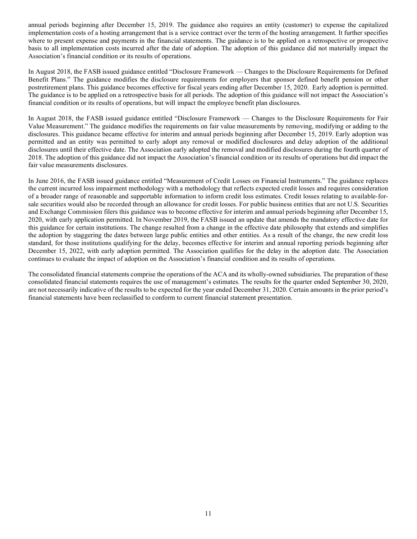annual periods beginning after December 15, 2019. The guidance also requires an entity (customer) to expense the capitalized implementation costs of a hosting arrangement that is a service contract over the term of the hosting arrangement. It further specifies where to present expense and payments in the financial statements. The guidance is to be applied on a retrospective or prospective basis to all implementation costs incurred after the date of adoption. The adoption of this guidance did not materially impact the Association's financial condition or its results of operations.

In August 2018, the FASB issued guidance entitled "Disclosure Framework — Changes to the Disclosure Requirements for Defined Benefit Plans." The guidance modifies the disclosure requirements for employers that sponsor defined benefit pension or other postretirement plans. This guidance becomes effective for fiscal years ending after December 15, 2020. Early adoption is permitted. The guidance is to be applied on a retrospective basis for all periods. The adoption of this guidance will not impact the Association's financial condition or its results of operations, but will impact the employee benefit plan disclosures.

In August 2018, the FASB issued guidance entitled "Disclosure Framework — Changes to the Disclosure Requirements for Fair Value Measurement." The guidance modifies the requirements on fair value measurements by removing, modifying or adding to the disclosures. This guidance became effective for interim and annual periods beginning after December 15, 2019. Early adoption was permitted and an entity was permitted to early adopt any removal or modified disclosures and delay adoption of the additional disclosures until their effective date. The Association early adopted the removal and modified disclosures during the fourth quarter of 2018. The adoption of this guidance did not impact the Association's financial condition or its results of operations but did impact the fair value measurements disclosures.

In June 2016, the FASB issued guidance entitled "Measurement of Credit Losses on Financial Instruments." The guidance replaces the current incurred loss impairment methodology with a methodology that reflects expected credit losses and requires consideration of a broader range of reasonable and supportable information to inform credit loss estimates. Credit losses relating to available-forsale securities would also be recorded through an allowance for credit losses. For public business entities that are not U.S. Securities and Exchange Commission filers this guidance was to become effective for interim and annual periods beginning after December 15, 2020, with early application permitted. In November 2019, the FASB issued an update that amends the mandatory effective date for this guidance for certain institutions. The change resulted from a change in the effective date philosophy that extends and simplifies the adoption by staggering the dates between large public entities and other entities. As a result of the change, the new credit loss standard, for those institutions qualifying for the delay, becomes effective for interim and annual reporting periods beginning after December 15, 2022, with early adoption permitted. The Association qualifies for the delay in the adoption date. The Association continues to evaluate the impact of adoption on the Association's financial condition and its results of operations.

The consolidated financial statements comprise the operations of the ACA and its wholly-owned subsidiaries. The preparation of these consolidated financial statements requires the use of management's estimates. The results for the quarter ended September 30, 2020, are not necessarily indicative of the results to be expected for the year ended December 31, 2020. Certain amounts in the prior period's financial statements have been reclassified to conform to current financial statement presentation.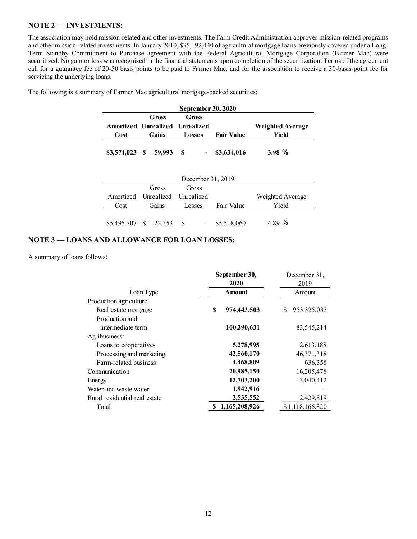## NOTE 2 — INVESTMENTS:

The association may hold mission-related and other investments. The Farm Credit Administration approves mission-related programs and other mission-related investments. In January 2010, \$35,192,440 of agricultural mortgage loans previously covered under a Long-Term Standby Commitment to Purchase agreement with the Federal Agricultural Mortgage Corporation (Farmer Mac) were securitized. No gain or loss was recognized in the financial statements upon completion of the securitization. Terms of the agreement call for a guarantee fee of 20-50 basis points to be paid to Farmer Mac, and for the association to receive a 30-basis-point fee for servicing the underlying loans.

| September 30, 2020              |  |       |               |       |                   |                         |  |  |
|---------------------------------|--|-------|---------------|-------|-------------------|-------------------------|--|--|
|                                 |  | Gross |               | Gross |                   |                         |  |  |
| Amortized Unrealized Unrealized |  |       |               |       |                   | <b>Weighted Average</b> |  |  |
| <b>Cost</b>                     |  | Gains | <b>Losses</b> |       | <b>Fair Value</b> | Yield                   |  |  |
| \$3,574,023 \$ 59,993           |  |       |               |       | \$3,634,016       | 3.98%                   |  |  |

The following is a summary of Farmer Mac agricultural mortgage-backed securities:

| December 31, 2019               |       |       |        |       |             |                  |  |
|---------------------------------|-------|-------|--------|-------|-------------|------------------|--|
|                                 |       | Gross |        | Gross |             |                  |  |
| Amortized Unrealized Unrealized |       |       |        |       |             | Weighted Average |  |
| Cost                            | Gains |       | Losses |       | Fair Value  | Yield            |  |
| \$5,495,707 \$ 22,353           |       |       |        |       | \$5,518,060 | 489 %            |  |

## NOTE 3 — LOANS AND ALLOWANCE FOR LOAN LOSSES:

A summary of loans follows:

|                               | September 30,     | December 31,       |
|-------------------------------|-------------------|--------------------|
|                               | 2020              | 2019               |
| Loan Type                     | Amount            | Amount             |
| Production agriculture:       |                   |                    |
| Real estate mortgage          | \$<br>974,443,503 | 953, 325, 033<br>S |
| Production and                |                   |                    |
| intermediate term             | 100,290,631       | 83,545,214         |
| Agribusiness:                 |                   |                    |
| Loans to cooperatives         | 5,278,995         | 2,613,188          |
| Processing and marketing      | 42,560,170        | 46, 371, 318       |
| Farm-related business         | 4,468,809         | 636,358            |
| Communication                 | 20,985,150        | 16,205,478         |
| Energy                        | 12,703,200        | 13,040,412         |
| Water and waste water         | 1,942,916         |                    |
| Rural residential real estate | 2,535,552         | 2,429,819          |
| Total                         | 1,165,208,926     | \$1,118,166,820    |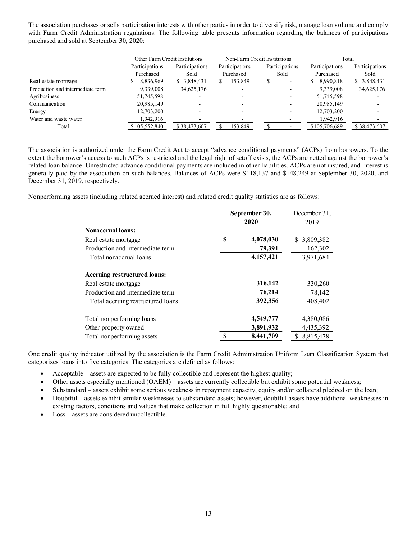The association purchases or sells participation interests with other parties in order to diversify risk, manage loan volume and comply with Farm Credit Administration regulations. The following table presents information regarding the balances of participations purchased and sold at September 30, 2020:

|                                  | Other Farm Credit Institutions |                | Non-Farm Credit Institutions |                               | Total           |                |
|----------------------------------|--------------------------------|----------------|------------------------------|-------------------------------|-----------------|----------------|
|                                  | Participations                 | Participations | Participations               | Participations                | Participations  | Participations |
|                                  | Purchased                      | Sold           | Purchased                    | Sold                          | Purchased       | Sold           |
| Real estate mortgage             | 8,836,969<br>S                 | \$3,848,431    | 153,849<br>S.                | S<br>$\overline{\phantom{0}}$ | 8,990,818<br>S. | \$ 3,848,431   |
| Production and intermediate term | 9,339,008                      | 34,625,176     |                              |                               | 9,339,008       | 34,625,176     |
| Agribusiness                     | 51,745,598                     |                |                              |                               | 51,745,598      |                |
| Communication                    | 20.985.149                     |                |                              | $\overline{\phantom{a}}$      | 20,985,149      |                |
| Energy                           | 12,703,200                     |                |                              |                               | 12,703,200      |                |
| Water and waste water            | 1,942,916                      |                |                              |                               | 1,942,916       |                |
| Total                            | \$105,552,840                  | \$38,473,607   | 153.849                      |                               | \$105,706,689   | \$38,473,607   |

The association is authorized under the Farm Credit Act to accept "advance conditional payments" (ACPs) from borrowers. To the extent the borrower's access to such ACPs is restricted and the legal right of setoff exists, the ACPs are netted against the borrower's related loan balance. Unrestricted advance conditional payments are included in other liabilities. ACPs are not insured, and interest is generally paid by the association on such balances. Balances of ACPs were \$118,137 and \$148,249 at September 30, 2020, and December 31, 2019, respectively.

Nonperforming assets (including related accrued interest) and related credit quality statistics are as follows:

|                                   | September 30,<br>2020 |           | December 31,<br>2019 |  |
|-----------------------------------|-----------------------|-----------|----------------------|--|
| <b>Nonaccrual loans:</b>          |                       |           |                      |  |
| Real estate mortgage              | S                     | 4,078,030 | 3,809,382<br>S.      |  |
| Production and intermediate term  |                       | 79,391    | 162,302              |  |
| Total nonaccrual loans            |                       | 4,157,421 | 3,971,684            |  |
| Accruing restructured loans:      |                       |           |                      |  |
| Real estate mortgage              |                       | 316,142   | 330,260              |  |
| Production and intermediate term  |                       | 76,214    | 78,142               |  |
| Total accruing restructured loans |                       | 392,356   | 408,402              |  |
| Total nonperforming loans         |                       | 4,549,777 | 4,380,086            |  |
| Other property owned              |                       | 3,891,932 | 4,435,392            |  |
| Total nonperforming assets        | S                     | 8,441,709 | 8,815,478            |  |

One credit quality indicator utilized by the association is the Farm Credit Administration Uniform Loan Classification System that categorizes loans into five categories. The categories are defined as follows:

- Acceptable assets are expected to be fully collectible and represent the highest quality;
- · Other assets especially mentioned (OAEM) assets are currently collectible but exhibit some potential weakness;
- · Substandard assets exhibit some serious weakness in repayment capacity, equity and/or collateral pledged on the loan;
- · Doubtful assets exhibit similar weaknesses to substandard assets; however, doubtful assets have additional weaknesses in existing factors, conditions and values that make collection in full highly questionable; and
- · Loss assets are considered uncollectible.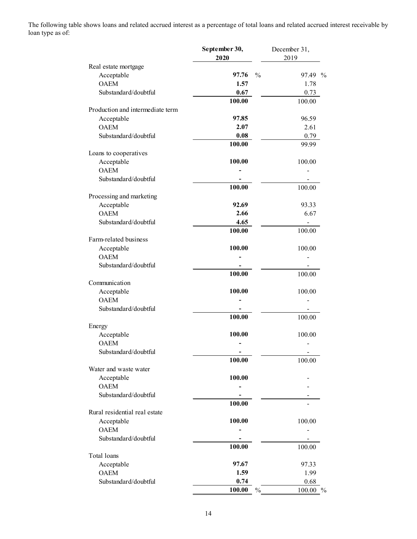The following table shows loans and related accrued interest as a percentage of total loans and related accrued interest receivable by loan type as of:

|                                  | September 30,<br>2020  | December 31,<br>2019 |
|----------------------------------|------------------------|----------------------|
| Real estate mortgage             |                        |                      |
| Acceptable                       | 97.76<br>$\frac{0}{0}$ | 97.49 %              |
| <b>OAEM</b>                      | 1.57                   | 1.78                 |
| Substandard/doubtful             | 0.67                   | 0.73                 |
|                                  | 100.00                 | 100.00               |
| Production and intermediate term |                        |                      |
| Acceptable                       | 97.85                  | 96.59                |
| <b>OAEM</b>                      | 2.07                   | 2.61                 |
| Substandard/doubtful             | 0.08                   | 0.79                 |
|                                  | 100.00                 | 99.99                |
| Loans to cooperatives            |                        |                      |
| Acceptable                       | 100.00                 | 100.00               |
| <b>OAEM</b>                      |                        |                      |
| Substandard/doubtful             |                        |                      |
|                                  | 100.00                 | 100.00               |
| Processing and marketing         |                        |                      |
| Acceptable                       | 92.69                  | 93.33                |
| <b>OAEM</b>                      | 2.66                   | 6.67                 |
| Substandard/doubtful             | 4.65                   |                      |
|                                  | 100.00                 | 100.00               |
| Farm-related business            |                        |                      |
| Acceptable                       | 100.00                 | 100.00               |
| <b>OAEM</b>                      |                        |                      |
| Substandard/doubtful             |                        |                      |
|                                  | 100.00                 | 100.00               |
| Communication                    |                        |                      |
| Acceptable                       | 100.00                 | 100.00               |
| <b>OAEM</b>                      |                        |                      |
| Substandard/doubtful             | 100.00                 |                      |
| Energy                           |                        | 100.00               |
| Acceptable                       | 100.00                 | 100.00               |
| <b>OAEM</b>                      |                        |                      |
| Substandard/doubtful             |                        |                      |
|                                  | 100.00                 | 100.00               |
| Water and waste water            |                        |                      |
| Acceptable                       | 100.00                 |                      |
| <b>OAEM</b>                      |                        |                      |
| Substandard/doubtful             |                        |                      |
|                                  | 100.00                 |                      |
| Rural residential real estate    |                        |                      |
| Acceptable                       | 100.00                 | 100.00               |
| <b>OAEM</b>                      |                        |                      |
| Substandard/doubtful             |                        |                      |
|                                  | 100.00                 | 100.00               |
| Total loans                      |                        |                      |
| Acceptable                       | 97.67                  | 97.33                |
| <b>OAEM</b>                      | 1.59                   | 1.99                 |
| Substandard/doubtful             | 0.74                   | 0.68                 |
|                                  | 100.00<br>$\%$         | 100.00 %             |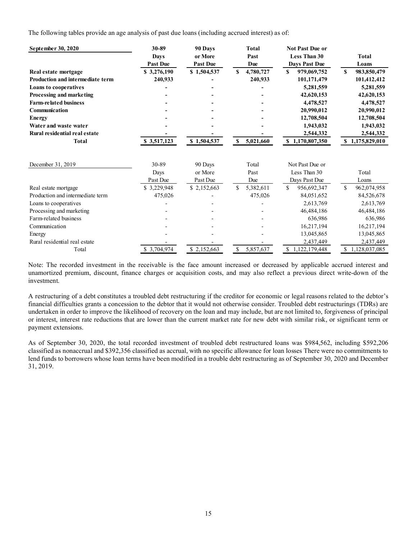The following tables provide an age analysis of past due loans (including accrued interest) as of:

| September 30, 2020                      | 30-89           | 90 Days         | Total           | <b>Not Past Due or</b>        |                               |
|-----------------------------------------|-----------------|-----------------|-----------------|-------------------------------|-------------------------------|
|                                         | <b>Days</b>     | or More         | Past            | <b>Less Than 30</b>           | <b>Total</b>                  |
|                                         | <b>Past Due</b> | <b>Past Due</b> | Due             | Days Past Due                 | Loans                         |
| Real estate mortgage                    | \$3,276,190     | \$1,504,537     | 4,780,727<br>S  | S.<br>979,069,752             | S<br>983,850,479              |
| <b>Production and intermediate term</b> | 240,933         |                 | 240,933         | 101,171,479                   | 101,412,412                   |
| <b>Loans to cooperatives</b>            |                 |                 |                 | 5,281,559                     | 5,281,559                     |
| Processing and marketing                |                 |                 |                 | 42,620,153                    | 42,620,153                    |
| <b>Farm-related business</b>            |                 |                 |                 | 4,478,527                     | 4,478,527                     |
| Communication                           |                 |                 |                 | 20,990,012                    | 20,990,012                    |
| Energy                                  |                 |                 |                 | 12,708,504                    | 12,708,504                    |
| Water and waste water                   |                 |                 |                 | 1,943,032                     | 1,943,032                     |
| Rural residential real estate           |                 |                 |                 | 2,544,332                     | 2,544,332                     |
| <b>Total</b>                            | \$3,517,123     | \$1,504,537     | S<br>5,021,660  | \$1,170,807,350               | \$1,175,829,010               |
|                                         |                 |                 |                 |                               |                               |
| December 31, 2019                       | 30-89           | 90 Days         | Total           | Not Past Due or               |                               |
|                                         | Days            | or More         | Past            | Less Than 30                  | Total                         |
|                                         | Past Due        | Past Due        | Due             | Days Past Due                 | Loans                         |
| Real estate mortgage                    | \$3,229,948     | \$2,152,663     | 5,382,611<br>\$ | \$<br>956,692,347             | S<br>962,074,958              |
| Production and intermediate term        | 475,026         |                 | 475,026         | 84,051,652                    | 84,526,678                    |
| Loans to cooperatives                   |                 |                 |                 | 2,613,769                     | 2,613,769                     |
| Processing and marketing                |                 |                 |                 | 46,484,186                    | 46,484,186                    |
| Farm-related business                   |                 |                 |                 | 636,986                       | 636,986                       |
| Communication                           |                 |                 |                 | 16,217,194                    | 16,217,194                    |
| Energy                                  |                 |                 |                 | 13,045,865                    | 13,045,865                    |
| Rural residential real estate           |                 |                 |                 | 2,437,449                     | 2,437,449                     |
| Total                                   | \$3,704,974     | \$2,152,663     | \$<br>5,857,637 | $\mathbb{S}$<br>1.122.179.448 | $\mathbb{S}$<br>1,128,037,085 |

Note: The recorded investment in the receivable is the face amount increased or decreased by applicable accrued interest and unamortized premium, discount, finance charges or acquisition costs, and may also reflect a previous direct write-down of the investment.

A restructuring of a debt constitutes a troubled debt restructuring if the creditor for economic or legal reasons related to the debtor's financial difficulties grants a concession to the debtor that it would not otherwise consider. Troubled debt restructurings (TDRs) are undertaken in order to improve the likelihood of recovery on the loan and may include, but are not limited to, forgiveness of principal or interest, interest rate reductions that are lower than the current market rate for new debt with similar risk, or significant term or payment extensions.

As of September 30, 2020, the total recorded investment of troubled debt restructured loans was \$984,562, including \$592,206 classified as nonaccrual and \$392,356 classified as accrual, with no specific allowance for loan losses There were no commitments to lend funds to borrowers whose loan terms have been modified in a trouble debt restructuring as of September 30, 2020 and December 31, 2019.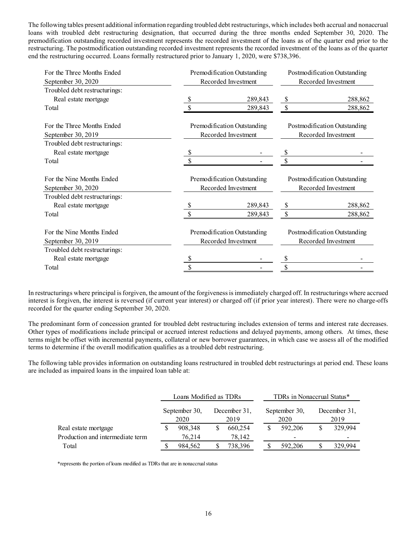The following tables present additional information regarding troubled debt restructurings, which includes both accrual and nonaccrual loans with troubled debt restructuring designation, that occurred during the three months ended September 30, 2020. The premodification outstanding recorded investment represents the recorded investment of the loans as of the quarter end prior to the restructuring. The postmodification outstanding recorded investment represents the recorded investment of the loans as of the quarter end the restructuring occurred. Loans formally restructured prior to January 1, 2020, were \$738,396.

| For the Three Months Ended<br>September 30, 2020                                 | Premodification Outstanding<br>Recorded Investment | Postmodification Outstanding<br>Recorded Investment |                                                     |  |
|----------------------------------------------------------------------------------|----------------------------------------------------|-----------------------------------------------------|-----------------------------------------------------|--|
| Troubled debt restructurings:<br>Real estate mortgage                            | 289,843                                            |                                                     | 288,862                                             |  |
| Total                                                                            | 289,843                                            |                                                     | 288,862                                             |  |
| For the Three Months Ended<br>September 30, 2019                                 | Premodification Outstanding<br>Recorded Investment |                                                     | Postmodification Outstanding<br>Recorded Investment |  |
| Troubled debt restructurings:                                                    |                                                    |                                                     |                                                     |  |
| Real estate mortgage                                                             |                                                    |                                                     |                                                     |  |
| Total                                                                            |                                                    |                                                     |                                                     |  |
| For the Nine Months Ended<br>September 30, 2020<br>Troubled debt restructurings: | Premodification Outstanding<br>Recorded Investment | Postmodification Outstanding<br>Recorded Investment |                                                     |  |
| Real estate mortgage                                                             | 289,843                                            |                                                     | 288,862                                             |  |
| Total                                                                            | 289,843                                            |                                                     | 288,862                                             |  |
| For the Nine Months Ended<br>September 30, 2019                                  | Premodification Outstanding<br>Recorded Investment |                                                     | Postmodification Outstanding<br>Recorded Investment |  |
| Troubled debt restructurings:                                                    |                                                    |                                                     |                                                     |  |
| Real estate mortgage                                                             |                                                    |                                                     |                                                     |  |
| Total                                                                            | \$                                                 |                                                     |                                                     |  |

In restructurings where principal is forgiven, the amount of the forgiveness is immediately charged off. In restructurings where accrued interest is forgiven, the interest is reversed (if current year interest) or charged off (if prior year interest). There were no charge-offs recorded for the quarter ending September 30, 2020.

The predominant form of concession granted for troubled debt restructuring includes extension of terms and interest rate decreases. Other types of modifications include principal or accrued interest reductions and delayed payments, among others. At times, these terms might be offset with incremental payments, collateral or new borrower guarantees, in which case we assess all of the modified terms to determine if the overall modification qualifies as a troubled debt restructuring.

The following table provides information on outstanding loans restructured in troubled debt restructurings at period end. These loans are included as impaired loans in the impaired loan table at:

|                                  |                       | Loans Modified as TDRs |                      | TDRs in Nonaccrual Status* |                      |         |  |
|----------------------------------|-----------------------|------------------------|----------------------|----------------------------|----------------------|---------|--|
|                                  | September 30,<br>2020 |                        | December 31.<br>2019 | September 30,<br>2020      | December 31,<br>2019 |         |  |
| Real estate mortgage             |                       | 908,348                | 660,254              | 592,206                    |                      | 329,994 |  |
| Production and intermediate term |                       | 76.214                 | 78,142               | $\overline{\phantom{a}}$   |                      |         |  |
| Total                            |                       | 984.562                | 738,396              | 592,206                    |                      | 329,994 |  |

\*represents the portion of loans modified as TDRs that are in nonaccrual status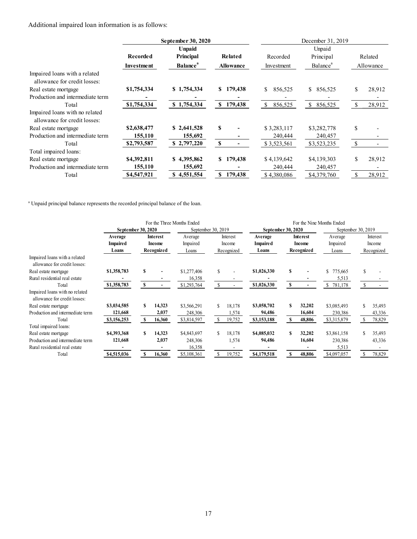Additional impaired loan information is as follows:

|                                  |                 | September 30, 2020          |                  | December 31, 2019 |                      |               |                          |  |
|----------------------------------|-----------------|-----------------------------|------------------|-------------------|----------------------|---------------|--------------------------|--|
|                                  |                 | <b>Unpaid</b>               |                  | Unpaid            |                      |               |                          |  |
|                                  | <b>Recorded</b> | Principal                   | Related          | Recorded          | Principal            |               | Related                  |  |
|                                  | Investment      | <b>Balance</b> <sup>a</sup> | <b>Allowance</b> | Investment        | Balance <sup>a</sup> |               | Allowance                |  |
| Impaired loans with a related    |                 |                             |                  |                   |                      |               |                          |  |
| allowance for credit losses:     |                 |                             |                  |                   |                      |               |                          |  |
| Real estate mortgage             | \$1,754,334     | \$1,754,334                 | \$179,438        | \$<br>856,525     | \$ 856,525           | \$            | 28,912                   |  |
| Production and intermediate term |                 |                             |                  |                   |                      |               |                          |  |
| Total                            | \$1,754,334     | \$1,754,334                 | 179,438<br>S.    | \$<br>856,525     | \$<br>856,525        | <sup>\$</sup> | 28,912                   |  |
| Impaired loans with no related   |                 |                             |                  |                   |                      |               |                          |  |
| allowance for credit losses:     |                 |                             |                  |                   |                      |               |                          |  |
| Real estate mortgage             | \$2,638,477     | \$2,641,528                 | S                | \$3,283,117       | \$3,282,778          | \$            |                          |  |
| Production and intermediate term | 155,110         | 155,692                     |                  | 240,444           | 240,457              |               |                          |  |
| Total                            | \$2,793,587     | \$2,797,220                 | S                | \$3,523,561       | \$3,523,235          | \$            |                          |  |
| Total impaired loans:            |                 |                             |                  |                   |                      |               |                          |  |
| Real estate mortgage             | \$4,392,811     | \$4,395,862                 | 179,438<br>S.    | \$4,139,642       | \$4,139,303          | \$            | 28,912                   |  |
| Production and intermediate term | 155,110         | 155,692                     |                  | 240,444           | 240,457              |               | $\overline{\phantom{a}}$ |  |
| Total                            | \$4,547,921     | 4,551,554<br>S              | 179,438<br>S     | \$4,380,086       | \$4,379,760          | \$            | 28,912                   |  |

<sup>a</sup> Unpaid principal balance represents the recorded principal balance of the loan.

|                                                                |                    | For the Three Months Ended |                 |                    |    |            |                 |                    | For the Nine Months Ended |               |     |                    |  |
|----------------------------------------------------------------|--------------------|----------------------------|-----------------|--------------------|----|------------|-----------------|--------------------|---------------------------|---------------|-----|--------------------|--|
|                                                                | September 30, 2020 |                            |                 | September 30, 2019 |    |            |                 | September 30, 2020 |                           |               |     | September 30, 2019 |  |
|                                                                | Average            |                            | <b>Interest</b> | Average            |    | Interest   | Average         |                    | Interest                  | Average       |     | Interest           |  |
|                                                                | <b>Impaired</b>    |                            | Income          | Impaired           |    | Income     | <b>Impaired</b> |                    | Income                    | Impaired      |     | Income             |  |
|                                                                | Loans              |                            | Recognized      | Loans              |    | Recognized | Loans           |                    | Recognized                | Loans         |     | Recognized         |  |
| Impaired loans with a related<br>allowance for credit losses:  |                    |                            |                 |                    |    |            |                 |                    |                           |               |     |                    |  |
| Real estate mortgage                                           | \$1,358,783        | S                          |                 | \$1,277,406        | \$ |            | \$1,026,330     | \$                 |                           | \$<br>775,665 | \$  |                    |  |
| Rural residential real estate                                  |                    |                            |                 | 16,358             |    |            |                 |                    |                           | 5,513         |     |                    |  |
| Total                                                          | \$1,358,783        | \$                         |                 | \$1,293,764        | \$ |            | \$1,026,330     | \$                 | $\overline{\phantom{0}}$  | 781,178<br>\$ | \$. |                    |  |
| Impaired loans with no related<br>allowance for credit losses: |                    |                            |                 |                    |    |            |                 |                    |                           |               |     |                    |  |
| Real estate mortgage                                           | \$3,034,585        | S                          | 14,323          | \$3,566,291        | S  | 18,178     | \$3,058,702     | S                  | 32,202                    | \$3,085,493   |     | 35,493             |  |
| Production and intermediate term                               | 121,668            |                            | 2,037           | 248,306            |    | 1,574      | 94,486          |                    | 16,604                    | 230,386       |     | 43,336             |  |
| Total                                                          | \$3,156,253        | <b>S</b>                   | 16,360          | \$3,814,597        | S. | 19,752     | \$3,153,188     | S                  | 48,806                    | \$3,315,879   | -S  | 78,829             |  |
| Total impaired loans:                                          |                    |                            |                 |                    |    |            |                 |                    |                           |               |     |                    |  |
| Real estate mortgage                                           | \$4,393,368        | S                          | 14,323          | \$4,843,697        | S  | 18,178     | \$4,085,032     | S                  | 32,202                    | \$3,861,158   | S   | 35,493             |  |
| Production and intermediate term                               | 121,668            |                            | 2,037           | 248,306            |    | 1,574      | 94,486          |                    | 16,604                    | 230,386       |     | 43,336             |  |
| Rural residential real estate                                  |                    |                            |                 | 16,358             |    |            |                 |                    |                           | 5,513         |     |                    |  |
| Total                                                          | \$4,515,036        | S                          | 16,360          | \$5,108,361        | S  | 19,752     | \$4,179,518     | S                  | 48,806                    | \$4,097,057   |     | 78,829             |  |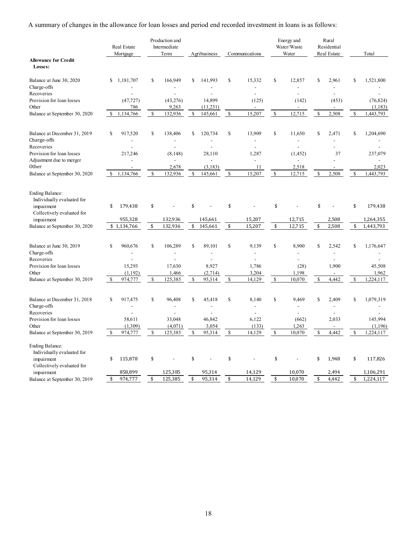A summary of changes in the allowance for loan losses and period end recorded investment in loans is as follows:

|                                                       |               | Real Estate<br>Mortgage |             | Production and<br>Intermediate<br>Term |             | Agribusiness                         |               | Communications                    |              | Energy and<br>Water/Waste<br>Water |              | Rural<br>Residential<br>Real Estate |               | Total                                   |
|-------------------------------------------------------|---------------|-------------------------|-------------|----------------------------------------|-------------|--------------------------------------|---------------|-----------------------------------|--------------|------------------------------------|--------------|-------------------------------------|---------------|-----------------------------------------|
| <b>Allowance for Credit</b><br>Losses:                |               |                         |             |                                        |             |                                      |               |                                   |              |                                    |              |                                     |               |                                         |
| Balance at June 30, 2020<br>Charge-offs               | \$            | 1,181,707               | \$          | 166,949                                | \$          | 141,993                              | $\mathbb{S}$  | 15,332                            | \$           | 12,857                             | \$           | 2,961                               | \$            | 1,521,800                               |
| Recoveries<br>Provision for loan losses<br>Other      |               | (47, 727)<br>786        |             | (43, 276)<br>9,263                     |             | $\overline{a}$<br>14,899<br>(11,231) |               | $\overline{a}$<br>(125)           |              | $\overline{a}$<br>(142)            |              | $\overline{a}$<br>(453)             |               | $\overline{a}$<br>(76, 824)<br>(1, 183) |
| Balance at September 30, 2020                         | \$            | 1,134,766               | \$          | 132,936                                | \$          | 145,661                              | <sup>\$</sup> | 15,207                            | \$           | 12,715                             | \$           | 2,508                               | \$            | 1,443,793                               |
| Balance at December 31, 2019<br>Charge-offs           | <sup>\$</sup> | 917,520                 | $\mathbf S$ | 138,406                                | \$          | 120,734                              | $\mathbb{S}$  | 13.909<br>$\overline{a}$          | $\mathbb{S}$ | 11.650<br>$\overline{a}$           | \$           | 2,471                               | \$            | 1,204,690                               |
| Recoveries                                            |               |                         |             |                                        |             |                                      |               | $\overline{a}$                    |              |                                    |              |                                     |               |                                         |
| Provision for loan losses<br>Adjustment due to merger |               | 217,246                 |             | (8,148)                                |             | 28,110<br>$\overline{a}$             |               | 1,287<br>$\overline{\phantom{a}}$ |              | (1, 452)                           |              | 37<br>$\overline{a}$                |               | 237,079                                 |
| Other                                                 |               |                         |             | 2,678                                  |             | (3, 183)                             |               | 11                                |              | 2,518                              |              |                                     |               | 2,023                                   |
| Balance at September 30, 2020                         | \$            | 1,134,766               | \$          | 132,936                                | \$          | 145,661                              | $\mathcal{S}$ | 15,207                            | \$           | 12,715                             | \$           | 2,508                               | \$            | 1,443,793                               |
| <b>Ending Balance:</b><br>Individually evaluated for  |               |                         |             |                                        |             |                                      |               |                                   |              |                                    |              |                                     |               |                                         |
| impairment<br>Collectively evaluated for              | \$            | 179,438                 | \$          |                                        | \$          |                                      | \$            |                                   | \$           |                                    | \$           |                                     | \$            | 179,438                                 |
| impairment                                            |               | 955,328                 |             | 132,936                                |             | 145,661                              |               | 15,207                            |              | 12,715                             |              | 2,508                               |               | 1,264,355                               |
| Balance at September 30, 2020                         |               | \$1,134,766             | \$          | 132.936                                | \$          | 145,661                              | \$            | 15,207                            | \$           | 12.715                             | \$           | 2,508                               | \$            | 1,443,793                               |
| Balance at June 30, 2019                              | $\mathbf S$   | 960,676                 | $\mathbf S$ | 106,289                                | $\mathbf S$ | 89.101                               | <sup>\$</sup> | 9,139                             | $\mathbf S$  | 8.900                              | $\mathbf S$  | 2,542                               | <sup>\$</sup> | 1,176,647                               |
| Charge-offs<br>Recoveries                             |               |                         |             |                                        |             | $\overline{a}$                       |               | $\overline{a}$<br>$\overline{a}$  |              | $\overline{a}$                     |              | $\overline{a}$                      |               |                                         |
| Provision for loan losses                             |               | 15,293                  |             | 17,630                                 |             | 8,927                                |               | 1,786                             |              | (28)                               |              | 1,900                               |               | 45,508                                  |
| Other                                                 |               | (1,192)                 |             | 1,466                                  |             | (2,714)                              |               | 3,204                             |              | 1,198                              |              |                                     |               | 1,962                                   |
| Balance at September 30, 2019                         | <sup>\$</sup> | 974,777                 | $\mathbf S$ | 125,385                                | \$          | 95,314                               | $\mathcal{S}$ | 14,129                            | $\mathbb{S}$ | 10,070                             | $\mathbb{S}$ | 4.442                               | \$            | 1,224,117                               |
| Balance at December 31, 2018<br>Charge-offs           | $\mathbb{S}$  | 917,475                 | \$          | 96,408                                 | \$          | 45,418<br>$\overline{a}$             | $\mathbb{S}$  | 8,140<br>$\overline{a}$           | \$           | 9,469<br>L.                        | \$           | 2,409<br>$\overline{a}$             | \$            | 1,079,319                               |
| Recoveries                                            |               |                         |             |                                        |             |                                      |               | $\overline{a}$                    |              |                                    |              |                                     |               |                                         |
| Provision for loan losses                             |               | 58,611                  |             | 33,048                                 |             | 46,842                               |               | 6,122                             |              | (662)                              |              | 2,033                               |               | 145,994                                 |
| Other                                                 |               | (1,309)                 |             | (4,071)                                |             | 3,054                                |               | (133)                             |              | 1,263                              |              | $\overline{a}$                      |               | (1, 196)                                |
| Balance at September 30, 2019                         | $\mathcal{S}$ | 974,777                 | \$          | 125,385                                | \$          | 95,314                               | $\mathcal{S}$ | 14,129                            | $\mathbb{S}$ | 10,070                             | \$           | 4,442                               | \$            | 1,224,117                               |
| <b>Ending Balance:</b><br>Individually evaluated for  |               |                         |             |                                        |             |                                      |               |                                   |              |                                    |              |                                     |               |                                         |
| impairment<br>Collectively evaluated for              | \$            | 115,878                 | \$          |                                        | \$          |                                      | \$            |                                   | \$           |                                    | \$           | 1,948                               | \$            | 117,826                                 |
| impairment                                            |               | 858,899                 |             | 125,385                                |             | 95,314                               |               | 14,129                            |              | 10,070                             |              | 2,494                               |               | 1,106,291                               |
| Balance at September 30, 2019                         | \$            | 974,777                 | \$          | 125,385                                | \$          | 95,314                               | \$            | 14,129                            | \$           | 10,070                             | \$           | 4,442                               | \$            | 1,224,117                               |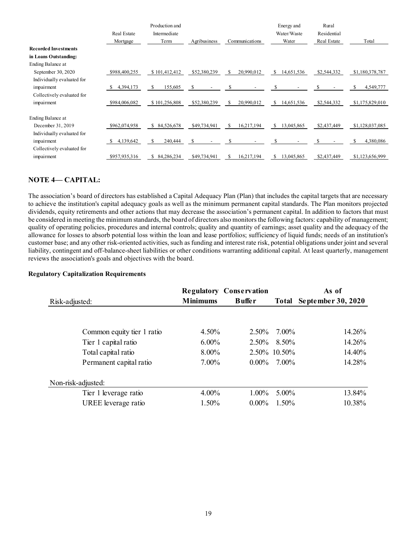|                             |                | Production and   |              |                   | Energy and       | Rural       |                 |
|-----------------------------|----------------|------------------|--------------|-------------------|------------------|-------------|-----------------|
|                             | Real Estate    | Intermediate     |              |                   | Water/Waste      | Residential |                 |
|                             | Mortgage       | Term             | Agribusiness | Communications    | Water            | Real Estate | Total           |
| <b>Recorded Investments</b> |                |                  |              |                   |                  |             |                 |
| in Loans Outstanding:       |                |                  |              |                   |                  |             |                 |
| Ending Balance at           |                |                  |              |                   |                  |             |                 |
| September 30, 2020          | \$988,400,255  | \$101,412,412    | \$52,380,239 | 20,990,012<br>\$. | 14,651,536<br>\$ | \$2,544,332 | \$1,180,378,787 |
| Individually evaluated for  |                |                  |              |                   |                  |             |                 |
| impairment                  | 4,394,173<br>S | S.<br>155,605    | \$           | S                 | S                | S           | 4,549,777       |
| Collectively evaluated for  |                |                  |              |                   |                  |             |                 |
| impairment                  | \$984,006,082  | \$101,256,808    | \$52,380,239 | 20,990,012<br>\$. | S.<br>14,651,536 | \$2,544,332 | \$1,175,829,010 |
| Ending Balance at           |                |                  |              |                   |                  |             |                 |
| December 31, 2019           | \$962,074,958  | 84,526,678<br>\$ | \$49,734,941 | 16,217,194<br>S   | 13,045,865<br>S  | \$2,437,449 | \$1,128,037,085 |
| Individually evaluated for  |                |                  |              |                   |                  |             |                 |
| impairment                  | 4,139,642<br>S | S.<br>240,444    | S            | S                 |                  |             | 4,380,086       |
| Collectively evaluated for  |                |                  |              |                   |                  |             |                 |
| impairment                  | \$957,935,316  | 84,286,234<br>S. | \$49,734,941 | 16,217,194        | \$<br>13,045,865 | \$2,437,449 | \$1,123,656,999 |

# NOTE 4-CAPITAL:

The association's board of directors has established a Capital Adequacy Plan (Plan) that includes the capital targets that are necessary to achieve the institution's capital adequacy goals as well as the minimum permanent capital standards. The Plan monitors projected dividends, equity retirements and other actions that may decrease the association's permanent capital. In addition to factors that must be considered in meeting the minimum standards, the board of directors also monitors the following factors: capability of management; quality of operating policies, procedures and internal controls; quality and quantity of earnings; asset quality and the adequacy of the allowance for losses to absorb potential loss within the loan and lease portfolios; sufficiency of liquid funds; needs of an institution's customer base; and any other risk-oriented activities, such as funding and interest rate risk, potential obligations under joint and several liability, contingent and off-balance-sheet liabilities or other conditions warranting additional capital. At least quarterly, management reviews the association's goals and objectives with the board.

### Regulatory Capitalization Requirements

| Risk-adjusted:             | <b>Minimums</b> | <b>Regulatory Conservation</b><br><b>Buffer</b> | Total        | As of<br>September 30, 2020 |
|----------------------------|-----------------|-------------------------------------------------|--------------|-----------------------------|
|                            |                 |                                                 |              |                             |
| Common equity tier 1 ratio | $4.50\%$        | $2.50\%$                                        | 7.00%        | 14.26%                      |
| Tier 1 capital ratio       | $6.00\%$        | $2.50\%$                                        | 8.50%        | 14.26%                      |
| Total capital ratio        | $8.00\%$        |                                                 | 2.50% 10.50% | 14.40%                      |
| Permanent capital ratio    | 7.00%           | $0.00\%$                                        | 7.00%        | 14.28%                      |
| Non-risk-adjusted:         |                 |                                                 |              |                             |
| Tier 1 leverage ratio      | 4.00%           | $1.00\%$                                        | $5.00\%$     | 13.84%                      |
| UREE leverage ratio        | 1.50%           | $0.00\%$                                        | 1.50%        | 10.38%                      |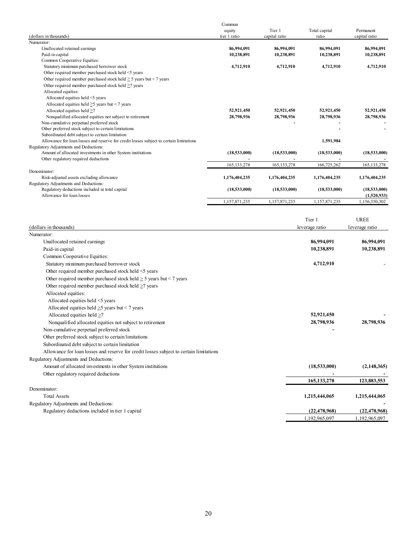|                                                                                        | Common        |               |               |               |
|----------------------------------------------------------------------------------------|---------------|---------------|---------------|---------------|
|                                                                                        | equity        | Tier 1        | Total capital | Permanent     |
| (dollars in thousands)                                                                 | tier 1 ratio  | capital ratio | ratio         | capital ratio |
| Numerator:                                                                             |               |               |               |               |
| Unallocated retained earnings                                                          | 86,994,091    | 86,994,091    | 86,994,091    | 86,994,091    |
| Paid-in capital                                                                        | 10,238,891    | 10,238,891    | 10,238,891    | 10,238,891    |
| Common Cooperative Equities:                                                           |               |               |               |               |
| Statutory minimum purchased borrower stock                                             | 4,712,910     | 4,712,910     | 4,712,910     | 4,712,910     |
| Other required member purchased stock held <5 years                                    |               |               |               |               |
| Other required member purchased stock held $\geq$ 5 years but $\leq$ 7 years           |               |               |               |               |
| Other required member purchased stock held >7 years                                    |               |               |               |               |
| Allocated equities:                                                                    |               |               |               |               |
| Allocated equities held <5 years                                                       |               |               |               |               |
| Allocated equities held $\geq$ years but < 7 years                                     |               |               |               |               |
| Allocated equities held >7                                                             | 52.921.450    | 52,921,450    | 52.921.450    | 52,921,450    |
| Nonqualified allocated equities not subject to retirement                              | 28,798,936    | 28,798,936    | 28,798,936    | 28,798,936    |
| Non-cumulative perpetual preferred stock                                               |               |               |               |               |
| Other preferred stock subject to certain limitations                                   |               |               |               |               |
| Subordinated debt subject to certain limitation                                        |               |               |               |               |
| Allowance for loan losses and reserve for credit losses subject to certain limitations |               |               | 1,591,984     |               |
| Regulatory Adjustments and Deductions:                                                 |               |               |               |               |
| Amount of allocated investments in other System institutions                           | (18,533,000)  | (18,533,000)  | (18,533,000)  | (18,533,000)  |
| Other regulatory required deductions                                                   |               |               |               |               |
|                                                                                        | 165, 133, 278 | 165, 133, 278 | 166,725,262   | 165, 133, 278 |
| Denominator:                                                                           |               |               |               |               |
| Risk-adjusted assets excluding allowance                                               | 1,176,404,235 | 1,176,404,235 | 1.176.404.235 | 1,176,404,235 |
| Regulatory Adjustments and Deductions:                                                 |               |               |               |               |
| Regulatory deductions included in total capital                                        | (18,533,000)  | (18,533,000)  | (18,533,000)  | (18,533,000)  |
| Allowance for loan losses                                                              |               |               |               | (1,520,933)   |
|                                                                                        | 1,157,871,235 | 1,157,871,235 | 1,157,871,235 | 1,156,350,302 |
|                                                                                        |               |               |               |               |

|                                                                                        | Tier 1         | <b>UREE</b>    |
|----------------------------------------------------------------------------------------|----------------|----------------|
| (dollars in thousands)                                                                 | leverage ratio | leverage ratio |
| Numerator:                                                                             |                |                |
| Unallocated retained earnings                                                          | 86,994,091     | 86,994,091     |
| Paid-in capital                                                                        | 10,238,891     | 10,238,891     |
| Common Cooperative Equities:                                                           |                |                |
| Statutory minimum purchased borrower stock                                             | 4,712,910      |                |
| Other required member purchased stock held <5 years                                    |                |                |
| Other required member purchased stock held $\geq$ 5 years but < 7 years                |                |                |
| Other required member purchased stock held >7 years                                    |                |                |
| Allocated equities:                                                                    |                |                |
| Allocated equities held <5 years                                                       |                |                |
| Allocated equities held $\geq$ 5 years but < 7 years                                   |                |                |
| Allocated equities held $\geq$ 7                                                       | 52,921,450     |                |
| Nonqualified allocated equities not subject to retirement                              | 28,798,936     | 28,798,936     |
| Non-cumulative perpetual preferred stock                                               |                |                |
| Other preferred stock subject to certain limitations                                   |                |                |
| Subordinated debt subject to certain limitation                                        |                |                |
| Allowance for loan losses and reserve for credit losses subject to certain limitations |                |                |
| Regulatory Adjustments and Deductions:                                                 |                |                |
| Amount of allocated investments in other System institutions                           | (18,533,000)   | (2,148,365)    |
| Other regulatory required deductions                                                   |                |                |
|                                                                                        | 165, 133, 278  | 123,883,553    |
| Denominator:                                                                           |                |                |
| <b>Total Assets</b>                                                                    | 1,215,444,065  | 1,215,444,065  |
| Regulatory Adjustments and Deductions:                                                 |                |                |
| Regulatory deductions included in tier 1 capital                                       | (22.478.968)   | (22.478.968)   |
|                                                                                        | 1,192,965,097  | 1,192,965,097  |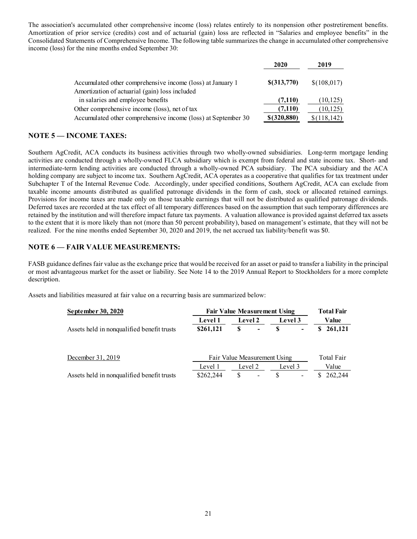The association's accumulated other comprehensive income (loss) relates entirely to its nonpension other postretirement benefits. Amortization of prior service (credits) cost and of actuarial (gain) loss are reflected in "Salaries and employee benefits" in the Consolidated Statements of Comprehensive Income. The following table summarizes the change in accumulated other comprehensive income (loss) for the nine months ended September 30:

|                                                               | 2020             | 2019         |
|---------------------------------------------------------------|------------------|--------------|
| Accumulated other comprehensive income (loss) at January 1    | \$(313,770)      | \$(108,017)  |
| Amortization of actuarial (gain) loss included                |                  |              |
| in salaries and employee benefits                             | (7,110)          | (10, 125)    |
| Other comprehensive income (loss), net of tax                 | (7,110)          | (10, 125)    |
| Accumulated other comprehensive income (loss) at September 30 | $$$ $(320, 880)$ | \$(118, 142) |

# NOTE 5 — INCOME TAXES:

Southern AgCredit, ACA conducts its business activities through two wholly-owned subsidiaries. Long-term mortgage lending activities are conducted through a wholly-owned FLCA subsidiary which is exempt from federal and state income tax. Short- and intermediate-term lending activities are conducted through a wholly-owned PCA subsidiary. The PCA subsidiary and the ACA holding company are subject to income tax. Southern AgCredit, ACA operates as a cooperative that qualifies for tax treatment under Subchapter T of the Internal Revenue Code. Accordingly, under specified conditions, Southern AgCredit, ACA can exclude from taxable income amounts distributed as qualified patronage dividends in the form of cash, stock or allocated retained earnings. Provisions for income taxes are made only on those taxable earnings that will not be distributed as qualified patronage dividends. Deferred taxes are recorded at the tax effect of all temporary differences based on the assumption that such temporary differences are retained by the institution and will therefore impact future tax payments. A valuation allowance is provided against deferred tax assets to the extent that it is more likely than not (more than 50 percent probability), based on management's estimate, that they will not be realized. For the nine months ended September 30, 2020 and 2019, the net accrued tax liability/benefit was \$0.

# NOTE 6 — FAIR VALUE MEASUREMENTS:

FASB guidance defines fair value as the exchange price that would be received for an asset or paid to transfer a liability in the principal or most advantageous market for the asset or liability. See Note 14 to the 2019 Annual Report to Stockholders for a more complete description.

Assets and liabilities measured at fair value on a recurring basis are summarized below:

| September 30, 2020                         | <b>Fair Value Measurement Using</b> | <b>Total Fair</b>            |            |              |  |
|--------------------------------------------|-------------------------------------|------------------------------|------------|--------------|--|
|                                            | <b>Level 1</b>                      | <b>Level 2</b>               | Level 3    | Value        |  |
| Assets held in nonqualified benefit trusts | \$261,121                           | \$<br>$\blacksquare$         | ۰          | 261,121<br>S |  |
|                                            |                                     |                              |            |              |  |
| December 31, 2019                          |                                     | Fair Value Measurement Using | Total Fair |              |  |
|                                            | Level 1                             | Level 2                      | Level 3    | Value        |  |
| Assets held in nonqualified benefit trusts | \$262,244                           | \$.                          | S          | 262,244      |  |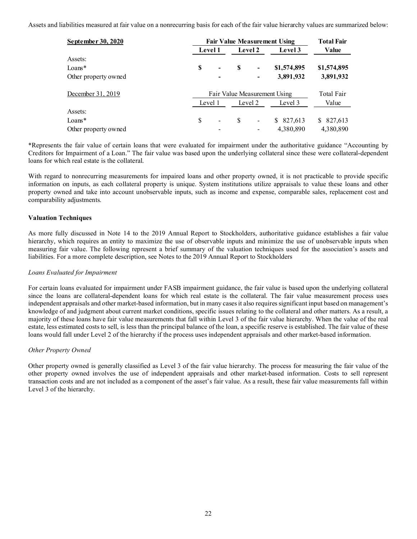Assets and liabilities measured at fair value on a nonrecurring basis for each of the fair value hierarchy values are summarized below:

| September 30, 2020   |    | <b>Fair Value Measurement Using</b> |   |                          |               |               |
|----------------------|----|-------------------------------------|---|--------------------------|---------------|---------------|
|                      |    | <b>Level 1</b>                      |   | <b>Level 2</b>           | Level 3       | Value         |
| Assets:              |    |                                     |   |                          |               |               |
| $Loans*$             | S  | $\overline{\phantom{a}}$            | S | -                        | \$1,574,895   | \$1,574,895   |
| Other property owned |    |                                     |   | -                        | 3,891,932     | 3,891,932     |
| December 31, 2019    |    | Fair Value Measurement Using        |   |                          |               |               |
|                      |    | Level 1<br>Level 2                  |   | Level 3                  | Value         |               |
| Assets:              |    |                                     |   |                          |               |               |
| $Loans*$             | \$ |                                     | S | $\overline{\phantom{a}}$ | 827,613<br>S. | 827,613<br>S. |
| Other property owned |    |                                     |   |                          | 4,380,890     | 4,380,890     |

\*Represents the fair value of certain loans that were evaluated for impairment under the authoritative guidance "Accounting by Creditors for Impairment of a Loan." The fair value was based upon the underlying collateral since these were collateral-dependent loans for which real estate is the collateral.

With regard to nonrecurring measurements for impaired loans and other property owned, it is not practicable to provide specific information on inputs, as each collateral property is unique. System institutions utilize appraisals to value these loans and other property owned and take into account unobservable inputs, such as income and expense, comparable sales, replacement cost and comparability adjustments.

### Valuation Techniques

As more fully discussed in Note 14 to the 2019 Annual Report to Stockholders, authoritative guidance establishes a fair value hierarchy, which requires an entity to maximize the use of observable inputs and minimize the use of unobservable inputs when measuring fair value. The following represent a brief summary of the valuation techniques used for the association's assets and liabilities. For a more complete description, see Notes to the 2019 Annual Report to Stockholders

#### Loans Evaluated for Impairment

For certain loans evaluated for impairment under FASB impairment guidance, the fair value is based upon the underlying collateral since the loans are collateral-dependent loans for which real estate is the collateral. The fair value measurement process uses independent appraisals and other market-based information, but in many cases it also requires significant input based on management's knowledge of and judgment about current market conditions, specific issues relating to the collateral and other matters. As a result, a majority of these loans have fair value measurements that fall within Level 3 of the fair value hierarchy. When the value of the real estate, less estimated costs to sell, is less than the principal balance of the loan, a specific reserve is established. The fair value of these loans would fall under Level 2 of the hierarchy if the process uses independent appraisals and other market-based information.

#### Other Property Owned

Other property owned is generally classified as Level 3 of the fair value hierarchy. The process for measuring the fair value of the other property owned involves the use of independent appraisals and other market-based information. Costs to sell represent transaction costs and are not included as a component of the asset's fair value. As a result, these fair value measurements fall within Level 3 of the hierarchy.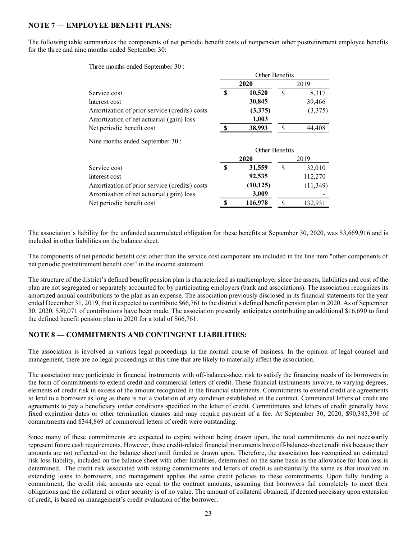# NOTE 7 — EMPLOYEE BENEFIT PLANS:

The following table summarizes the components of net periodic benefit costs of nonpension other postretirement employee benefits for the three and nine months ended September 30:

Other Benefits

Three months ended September 30 :

|                                               | 2020           |           | 2019          |           |  |
|-----------------------------------------------|----------------|-----------|---------------|-----------|--|
| Service cost                                  | S              | 10,520    | S             | 8,317     |  |
| Interest cost                                 |                | 30,845    |               | 39,466    |  |
| Amortization of prior service (credits) costs |                | (3,375)   |               | (3,375)   |  |
| Amortization of net actuarial (gain) loss     |                | 1,003     |               |           |  |
| Net periodic benefit cost                     | S              | 38,993    | S             | 44,408    |  |
| Nine months ended September 30 :              |                |           |               |           |  |
|                                               | Other Benefits |           |               |           |  |
|                                               | 2020           |           | 2019          |           |  |
| Service cost                                  | S              | 31,559    | S             | 32,010    |  |
| Interest cost                                 |                | 92,535    |               | 112,270   |  |
| Amortization of prior service (credits) costs |                | (10, 125) |               | (11, 349) |  |
| Amortization of net actuarial (gain) loss     |                | 3,009     |               |           |  |
| Net periodic benefit cost                     | S              | 116,978   | <sup>\$</sup> | 132,931   |  |

The association's liability for the unfunded accumulated obligation for these benefits at September 30, 2020, was \$3,669,916 and is included in other liabilities on the balance sheet.

The components of net periodic benefit cost other than the service cost component are included in the line item "other components of net periodic postretirement benefit cost" in the income statement.

The structure of the district's defined benefit pension plan is characterized as multiemployer since the assets, liabilities and cost of the plan are not segregated or separately accounted for by participating employers (bank and associations). The association recognizes its amortized annual contributions to the plan as an expense. The association previously disclosed in its financial statements for the year ended December 31, 2019, that it expected to contribute \$66,761 to the district's defined benefit pension plan in 2020. As of September 30, 2020, \$50,071 of contributions have been made. The association presently anticipates contributing an additional \$16,690 to fund the defined benefit pension plan in 2020 for a total of \$66,761.

## NOTE 8 — COMMITMENTS AND CONTINGENT LIABILITIES:

The association is involved in various legal proceedings in the normal course of business. In the opinion of legal counsel and management, there are no legal proceedings at this time that are likely to materially affect the association.

The association may participate in financial instruments with off-balance-sheet risk to satisfy the financing needs of its borrowers in the form of commitments to extend credit and commercial letters of credit. These financial instruments involve, to varying degrees, elements of credit risk in excess of the amount recognized in the financial statements. Commitments to extend credit are agreements to lend to a borrower as long as there is not a violation of any condition established in the contract. Commercial letters of credit are agreements to pay a beneficiary under conditions specified in the letter of credit. Commitments and letters of credit generally have fixed expiration dates or other termination clauses and may require payment of a fee. At September 30, 2020, \$90,383,398 of commitments and \$344,869 of commercial letters of credit were outstanding.

Since many of these commitments are expected to expire without being drawn upon, the total commitments do not necessarily represent future cash requirements. However, these credit-related financial instruments have off-balance-sheet credit risk because their amounts are not reflected on the balance sheet until funded or drawn upon. Therefore, the association has recognized an estimated risk loss liability, included on the balance sheet with other liabilities, determined on the same basis as the allowance for loan loss is determined. The credit risk associated with issuing commitments and letters of credit is substantially the same as that involved in extending loans to borrowers, and management applies the same credit policies to these commitments. Upon fully funding a commitment, the credit risk amounts are equal to the contract amounts, assuming that borrowers fail completely to meet their obligations and the collateral or other security is of no value. The amount of collateral obtained, if deemed necessary upon extension of credit, is based on management's credit evaluation of the borrower.